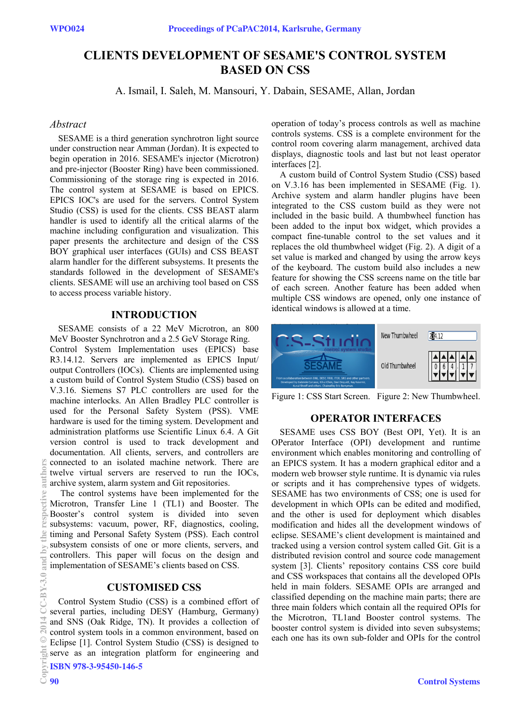# **CLIENTS DEVELOPMENT OF SESAME'S CONTROL SYSTEM BASED ON CSS**

A. Ismail, I. Saleh, M. Mansouri, Y. Dabain, SESAME, Allan, Jordan

#### *Abstract*

SESAME is a third generation synchrotron light source under construction near Amman (Jordan). It is expected to begin operation in 2016. SESAME's injector (Microtron) and pre-injector (Booster Ring) have been commissioned. Commissioning of the storage ring is expected in 2016. The control system at SESAME is based on EPICS. EPICS IOC's are used for the servers. Control System Studio (CSS) is used for the clients. CSS BEAST alarm handler is used to identify all the critical alarms of the machine including configuration and visualization. This paper presents the architecture and design of the CSS BOY graphical user interfaces (GUIs) and CSS BEAST alarm handler for the different subsystems. It presents the standards followed in the development of SESAME's clients. SESAME will use an archiving tool based on CSS to access process variable history.

## **INTRODUCTION**

SESAME consists of a 22 MeV Microtron, an 800 MeV Booster Synchrotron and a 2.5 GeV Storage Ring. Control System Implementation uses (EPICS) base R3.14.12. Servers are implemented as EPICS Input/ output Controllers (IOCs). Clients are implemented using a custom build of Control System Studio (CSS) based on V.3.16. Siemens S7 PLC controllers are used for the machine interlocks. An Allen Bradley PLC controller is used for the Personal Safety System (PSS). VME hardware is used for the timing system. Development and administration platforms use Scientific Linux 6.4. A Git version control is used to track development and documentation. All clients, servers, and controllers are connected to an isolated machine network. There are twelve virtual servers are reserved to run the IOCs, archive system, alarm system and Git repositories.

 The control systems have been implemented for the Microtron, Transfer Line 1 (TL1) and Booster. The Booster's control system is divided into seven subsystems: vacuum, power, RF, diagnostics, cooling, timing and Personal Safety System (PSS). Each control subsystem consists of one or more clients, servers, and controllers. This paper will focus on the design and implementation of SESAME's clients based on CSS.

#### **CUSTOMISED CSS**

Control System Studio (CSS) is a combined effort of several parties, including DESY (Hamburg, Germany) and SNS (Oak Ridge, TN). It provides a collection of control system tools in a common environment, based on Eclipse [1]. Control System Studio (CSS) is designed to serve as an integration platform for engineering and ISBN 978-3-95450-146-5

operation of today's process controls as well as machine controls systems. CSS is a complete environment for the control room covering alarm management, archived data displays, diagnostic tools and last but not least operator interfaces [2].

A custom build of Control System Studio (CSS) based on V.3.16 has been implemented in SESAME (Fig. 1). Archive system and alarm handler plugins have been integrated to the CSS custom build as they were not included in the basic build. A thumbwheel function has been added to the input box widget, which provides a compact fine-tunable control to the set values and it replaces the old thumbwheel widget (Fig. 2). A digit of a set value is marked and changed by using the arrow keys of the keyboard. The custom build also includes a new feature for showing the CSS screens name on the title bar of each screen. Another feature has been added when multiple CSS windows are opened, only one instance of identical windows is allowed at a time.



Figure 1: CSS Start Screen. Figure 2: New Thumbwheel.

#### **OPERATOR INTERFACES**

SESAME uses CSS BOY (Best OPI, Yet). It is an OPerator Interface (OPI) development and runtime environment which enables monitoring and controlling of an EPICS system. It has a modern graphical editor and a modern web browser style runtime. It is dynamic via rules or scripts and it has comprehensive types of widgets. SESAME has two environments of CSS; one is used for development in which OPIs can be edited and modified, and the other is used for deployment which disables modification and hides all the development windows of eclipse. SESAME's client development is maintained and tracked using a version control system called Git. Git is a distributed revision control and source code management system [3]. Clients' repository contains CSS core build and CSS workspaces that contains all the developed OPIs held in main folders. SESAME OPIs are arranged and classified depending on the machine main parts; there are three main folders which contain all the required OPIs for the Microtron, TL1and Booster control systems. The booster control system is divided into seven subsystems; each one has its own sub-folder and OPIs for the control

**Dull** autho

 $\approx$ X and

 $CC-BY-3.0$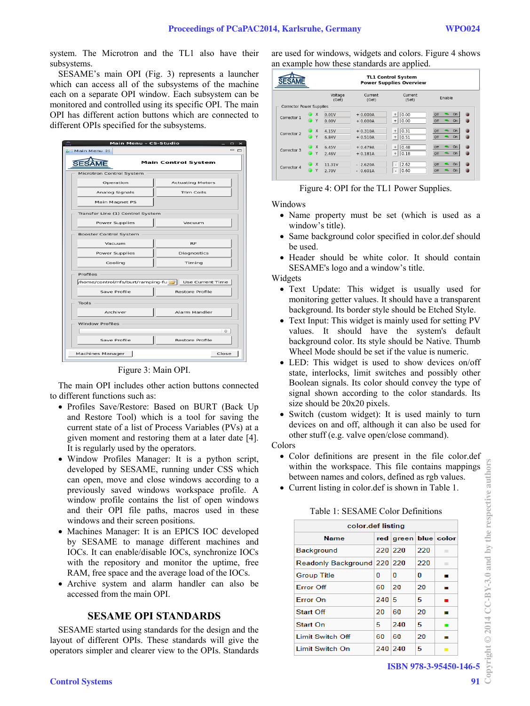system. The Microtron and the TL1 also have their subsystems.

SESAME's main OPI (Fig. 3) represents a launcher which can access all of the subsystems of the machine each on a separate OPI window. Each subsystem can be monitored and controlled using its specific OPI. The main OPI has different action buttons which are connected to different OPIs specified for the subsystems.

| Main Menu - CS-Studio<br>$\Box$<br>$\mathbf{\times}$ |                                                      |  |  |  |  |  |  |
|------------------------------------------------------|------------------------------------------------------|--|--|--|--|--|--|
| <b>Ed Main Menu &amp;</b>                            | $= 0$                                                |  |  |  |  |  |  |
|                                                      | <b>Main Control System</b>                           |  |  |  |  |  |  |
| Microtron Control System                             |                                                      |  |  |  |  |  |  |
| Operation                                            | <b>Actuating Motors</b>                              |  |  |  |  |  |  |
| Analog Signals                                       | Trim Coils                                           |  |  |  |  |  |  |
| Main Magnet PS                                       |                                                      |  |  |  |  |  |  |
| Transfer Line (1) Control System                     |                                                      |  |  |  |  |  |  |
| <b>Power Supplies</b>                                | Vacuum                                               |  |  |  |  |  |  |
| Booster Control System                               |                                                      |  |  |  |  |  |  |
| Vacuum                                               | <b>RF</b>                                            |  |  |  |  |  |  |
| <b>Power Supplies</b>                                | Diagnostics                                          |  |  |  |  |  |  |
| Cooling                                              | Timing                                               |  |  |  |  |  |  |
| Profiles                                             |                                                      |  |  |  |  |  |  |
|                                                      | /home/control/nfs/burt/ramping-fu   Use Current Time |  |  |  |  |  |  |
| Save Profile                                         | <b>Restore Profile</b>                               |  |  |  |  |  |  |
| Tools                                                |                                                      |  |  |  |  |  |  |
| Archiver                                             | Alarm Handler                                        |  |  |  |  |  |  |
| <b>Window Profiles</b>                               |                                                      |  |  |  |  |  |  |
|                                                      | $\circ$                                              |  |  |  |  |  |  |
| Save Profile                                         | <b>Restore Profile</b>                               |  |  |  |  |  |  |
| Machines Manager                                     | Close                                                |  |  |  |  |  |  |

Figure 3: Main OPI.

The main OPI includes other action buttons connected to different functions such as:

- Profiles Save/Restore: Based on BURT (Back Up and Restore Tool) which is a tool for saving the current state of a list of Process Variables (PVs) at a given moment and restoring them at a later date [4]. It is regularly used by the operators.
- Window Profiles Manager: It is a python script, developed by SESAME, running under CSS which can open, move and close windows according to a previously saved windows workspace profile. A window profile contains the list of open windows and their OPI file paths, macros used in these windows and their screen positions.
- Machines Manager: It is an EPICS IOC developed by SESAME to manage different machines and IOCs. It can enable/disable IOCs, synchronize IOCs with the repository and monitor the uptime, free RAM, free space and the average load of the IOCs.
- Archive system and alarm handler can also be accessed from the main OPI.

## **SESAME OPI STANDARDS**

SESAME started using standards for the design and the layout of different OPIs. These standards will give the operators simpler and clearer view to the OPIs. Standards are used for windows, widgets and colors. Figure 4 shows an example how these standards are applied.

|                          |                                | <b>TL1 Control System</b><br><b>Power Supplies Overview</b> |                          |                                                                      |                                                           |  |  |  |
|--------------------------|--------------------------------|-------------------------------------------------------------|--------------------------|----------------------------------------------------------------------|-----------------------------------------------------------|--|--|--|
|                          |                                | Voltage<br>(Get)                                            | Current<br>(Get)         | Current<br>(Set)                                                     | Enable                                                    |  |  |  |
| Corrector Power Supplies |                                |                                                             |                          |                                                                      |                                                           |  |  |  |
| Corrector 1              | $\boldsymbol{\mathsf{x}}$<br>Y | 0.01V<br>0.00V                                              | $+0.000A$<br>$+0.000A$   | 0.00<br>$+$<br>$\qquad \qquad +$<br>0.00                             | O <sub>n</sub><br>۰<br>Off<br>O <sub>n</sub><br>Off<br>۰. |  |  |  |
| Corrector 2              | $\bullet$ x<br>Y               | 4.15V<br>6.84V                                              | $+0.310A$<br>$+0.510A$   | 0.31<br>$+$<br>$^{\mathrm{+}}$<br>0.51                               | O <sub>n</sub><br>Off<br>u,<br><b>On</b><br>Off<br>۰.     |  |  |  |
| Corrector 3              | $\times$<br>Y                  | 6.45V<br>2.46V                                              | $+0.479A$<br>$+0.181A$   | 0.48<br>$\ddot{}$<br>0.18<br>$\overline{+}$                          | <b>On</b><br>o.<br>Off<br>On<br>۰.<br>Off                 |  |  |  |
| Corrector 4              | $\times$<br>Y                  | 11.31V<br>2.70V                                             | $-2.620A$<br>0.601A<br>٠ | 2.62<br>$\overline{\phantom{a}}$<br>0.60<br>$\overline{\phantom{a}}$ | O <sub>n</sub><br>Off<br>۰.<br>On<br>۰.<br>Off            |  |  |  |

#### Figure 4: OPI for the TL1 Power Supplies.

Windows

- Name property must be set (which is used as a window's title).
- Same background color specified in color.def should be used.
- Header should be white color. It should contain SESAME's logo and a window's title.

Widgets

- Text Update: This widget is usually used for monitoring getter values. It should have a transparent background. Its border style should be Etched Style.
- Text Input: This widget is mainly used for setting PV values. It should have the system's default background color. Its style should be Native. Thumb Wheel Mode should be set if the value is numeric.
- LED: This widget is used to show devices on/off state, interlocks, limit switches and possibly other Boolean signals. Its color should convey the type of signal shown according to the color standards. Its size should be 20x20 pixels.
- Switch (custom widget): It is used mainly to turn devices on and off, although it can also be used for other stuff (e.g. valve open/close command).

Colors

- Color definitions are present in the file color.def within the workspace. This file contains mappings between names and colors, defined as rgb values.
- Current listing in color.def is shown in Table 1.

| color.def listing           |         |                            |     |                |  |  |  |  |
|-----------------------------|---------|----------------------------|-----|----------------|--|--|--|--|
| <b>Name</b>                 |         | red   green   blue   color |     |                |  |  |  |  |
| Background                  | 220 220 |                            | 220 | ٠              |  |  |  |  |
| Readonly Background 220 220 |         |                            | 220 | ٠              |  |  |  |  |
| <b>Group Title</b>          | o       | 0                          | 0   |                |  |  |  |  |
| <b>Error Off</b>            | 60      | 20                         | 20  |                |  |  |  |  |
| Frror On                    | 240 5   |                            | 5   |                |  |  |  |  |
| Start Off                   | 20      | 60                         | 20  |                |  |  |  |  |
| Start On                    | 5       | 240                        | 5   |                |  |  |  |  |
| Limit Switch Off            | 60      | 60                         | 20  |                |  |  |  |  |
| Limit Switch On             | 240 240 |                            | 5   | $\blacksquare$ |  |  |  |  |